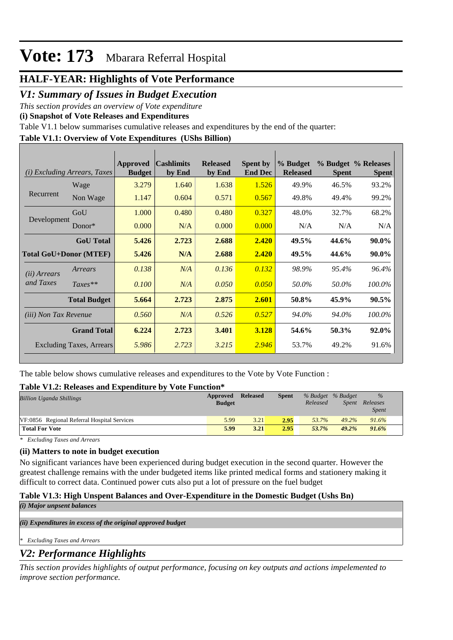## **HALF-YEAR: Highlights of Vote Performance**

## *V1: Summary of Issues in Budget Execution*

*This section provides an overview of Vote expenditure* 

**(i) Snapshot of Vote Releases and Expenditures**

Table V1.1 below summarises cumulative releases and expenditures by the end of the quarter:

## **Table V1.1: Overview of Vote Expenditures (UShs Billion)**

| (i)                           | <i>Excluding Arrears, Taxes</i> | Approved<br><b>Budget</b> | <b>Cashlimits</b><br>by End | <b>Released</b><br>by End | <b>Spent by</b><br><b>End Dec</b> | % Budget<br><b>Released</b> | <b>Spent</b> | % Budget % Releases<br><b>Spent</b> |
|-------------------------------|---------------------------------|---------------------------|-----------------------------|---------------------------|-----------------------------------|-----------------------------|--------------|-------------------------------------|
|                               | Wage                            | 3.279                     | 1.640                       | 1.638                     | 1.526                             | 49.9%                       | 46.5%        | 93.2%                               |
| Recurrent                     | Non Wage                        | 1.147                     | 0.604                       | 0.571                     | 0.567                             | 49.8%                       | 49.4%        | 99.2%                               |
|                               | GoU                             | 1.000                     | 0.480                       | 0.480                     | 0.327                             | 48.0%                       | 32.7%        | 68.2%                               |
| Development                   | Donor $*$                       | 0.000                     | N/A                         | 0.000                     | 0.000                             | N/A                         | N/A          | N/A                                 |
|                               | <b>GoU</b> Total                | 5.426                     | 2.723                       | 2.688                     | 2.420                             | 49.5%                       | 44.6%        | 90.0%                               |
| <b>Total GoU+Donor (MTEF)</b> |                                 | 5.426                     | N/A                         | 2.688                     | 2.420                             | 49.5%                       | 44.6%        | 90.0%                               |
| ( <i>ii</i> ) Arrears         | Arrears                         | 0.138                     | N/A                         | 0.136                     | 0.132                             | 98.9%                       | 95.4%        | 96.4%                               |
| and Taxes                     | $Taxes**$                       | 0.100                     | N/A                         | 0.050                     | 0.050                             | 50.0%                       | 50.0%        | 100.0%                              |
|                               | <b>Total Budget</b>             | 5.664                     | 2.723                       | 2.875                     | 2.601                             | 50.8%                       | 45.9%        | 90.5%                               |
| <i>(iii)</i> Non Tax Revenue  |                                 | 0.560                     | N/A                         | 0.526                     | 0.527                             | 94.0%                       | 94.0%        | 100.0%                              |
|                               | <b>Grand Total</b>              | 6.224                     | 2.723                       | 3.401                     | 3.128                             | 54.6%                       | 50.3%        | 92.0%                               |
|                               | <b>Excluding Taxes, Arrears</b> | 5.986                     | 2.723                       | 3.215                     | 2.946                             | 53.7%                       | 49.2%        | 91.6%                               |

The table below shows cumulative releases and expenditures to the Vote by Vote Function :

#### **Table V1.2: Releases and Expenditure by Vote Function\***

| <b>Billion Uganda Shillings</b>             | Approved<br><b>Budget</b> | <b>Released</b> | <b>Spent</b> | % Budget % Budget<br>Released | Spent | $\%$<br>Releases<br><b>Spent</b> |
|---------------------------------------------|---------------------------|-----------------|--------------|-------------------------------|-------|----------------------------------|
| VF:0856 Regional Referral Hospital Services | 5.99                      | 3.21            | 2.95         | 53.7%                         | 49.2% | 91.6%                            |
| <b>Total For Vote</b>                       | 5.99                      | 3.21            | 2.95         | 53.7%                         | 49.2% | 91.6%                            |

*\* Excluding Taxes and Arrears*

#### **(ii) Matters to note in budget execution**

No significant variances have been experienced during budget execution in the second quarter. However the greatest challenge remains with the under budgeted items like printed medical forms and stationery making it difficult to correct data. Continued power cuts also put a lot of pressure on the fuel budget

## **Table V1.3: High Unspent Balances and Over-Expenditure in the Domestic Budget (Ushs Bn)**

*(i) Major unpsent balances*

*(ii) Expenditures in excess of the original approved budget*

*\* Excluding Taxes and Arrears*

## *V2: Performance Highlights*

*This section provides highlights of output performance, focusing on key outputs and actions impelemented to improve section performance.*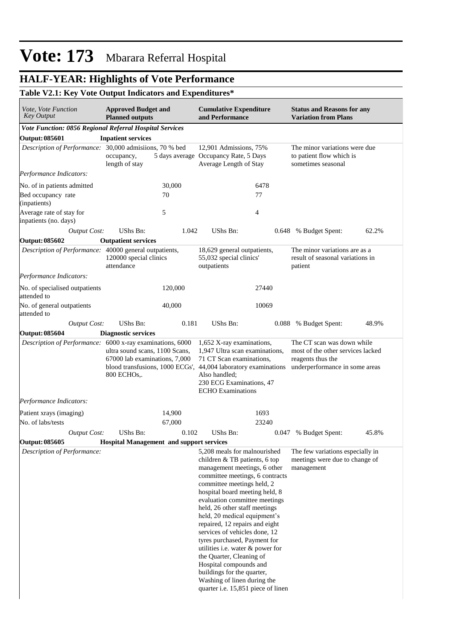# **HALF-YEAR: Highlights of Vote Performance**

## **Table V2.1: Key Vote Output Indicators and Expenditures\***

| <i>Vote, Vote Function</i><br><b>Key Output</b>           | <b>Approved Budget and</b><br><b>Planned outputs</b>                                    |         | <b>Cumulative Expenditure</b><br>and Performance                                                                                                                                                                                                                                                                                                                                                                                                                                                                                                                                                   |       | <b>Status and Reasons for any</b><br><b>Variation from Plans</b>                                                       |       |  |
|-----------------------------------------------------------|-----------------------------------------------------------------------------------------|---------|----------------------------------------------------------------------------------------------------------------------------------------------------------------------------------------------------------------------------------------------------------------------------------------------------------------------------------------------------------------------------------------------------------------------------------------------------------------------------------------------------------------------------------------------------------------------------------------------------|-------|------------------------------------------------------------------------------------------------------------------------|-------|--|
| Vote Function: 0856 Regional Referral Hospital Services   |                                                                                         |         |                                                                                                                                                                                                                                                                                                                                                                                                                                                                                                                                                                                                    |       |                                                                                                                        |       |  |
| <b>Output: 085601</b>                                     | <b>Inpatient services</b>                                                               |         |                                                                                                                                                                                                                                                                                                                                                                                                                                                                                                                                                                                                    |       |                                                                                                                        |       |  |
|                                                           | Description of Performance: 30,000 admisiions, 70 % bed<br>occupancy,<br>length of stay |         | 12.901 Admissions, 75%<br>5 days average Occupancy Rate, 5 Days<br>Average Length of Stay                                                                                                                                                                                                                                                                                                                                                                                                                                                                                                          |       | The minor variations were due<br>to patient flow which is<br>sometimes seasonal                                        |       |  |
| Performance Indicators:                                   |                                                                                         |         |                                                                                                                                                                                                                                                                                                                                                                                                                                                                                                                                                                                                    |       |                                                                                                                        |       |  |
| No. of in patients admitted                               |                                                                                         | 30,000  |                                                                                                                                                                                                                                                                                                                                                                                                                                                                                                                                                                                                    | 6478  |                                                                                                                        |       |  |
| Bed occupancy rate<br>(inpatients)                        |                                                                                         | 70      |                                                                                                                                                                                                                                                                                                                                                                                                                                                                                                                                                                                                    | 77    |                                                                                                                        |       |  |
| Average rate of stay for<br>inpatients (no. days)         |                                                                                         | 5       |                                                                                                                                                                                                                                                                                                                                                                                                                                                                                                                                                                                                    | 4     |                                                                                                                        |       |  |
| <b>Output Cost:</b>                                       | UShs Bn:                                                                                | 1.042   | UShs Bn:                                                                                                                                                                                                                                                                                                                                                                                                                                                                                                                                                                                           |       | 0.648 % Budget Spent:                                                                                                  | 62.2% |  |
| <b>Output: 085602</b>                                     | <b>Outpatient services</b>                                                              |         |                                                                                                                                                                                                                                                                                                                                                                                                                                                                                                                                                                                                    |       |                                                                                                                        |       |  |
| Description of Performance: 40000 general outpatients,    | 120000 special clinics<br>attendance                                                    |         | 18,629 general outpatients,<br>55,032 special clinics'<br>outpatients                                                                                                                                                                                                                                                                                                                                                                                                                                                                                                                              |       | The minor variations are as a<br>result of seasonal variations in<br>patient                                           |       |  |
| Performance Indicators:                                   |                                                                                         |         |                                                                                                                                                                                                                                                                                                                                                                                                                                                                                                                                                                                                    |       |                                                                                                                        |       |  |
| No. of specialised outpatients<br>attended to             |                                                                                         | 120,000 |                                                                                                                                                                                                                                                                                                                                                                                                                                                                                                                                                                                                    | 27440 |                                                                                                                        |       |  |
| No. of general outpatients<br>attended to                 |                                                                                         | 40,000  |                                                                                                                                                                                                                                                                                                                                                                                                                                                                                                                                                                                                    | 10069 |                                                                                                                        |       |  |
| <b>Output Cost:</b>                                       | UShs Bn:                                                                                | 0.181   | UShs Bn:                                                                                                                                                                                                                                                                                                                                                                                                                                                                                                                                                                                           |       | 0.088 % Budget Spent:                                                                                                  | 48.9% |  |
| <b>Output: 085604</b>                                     | <b>Diagnostic services</b>                                                              |         |                                                                                                                                                                                                                                                                                                                                                                                                                                                                                                                                                                                                    |       |                                                                                                                        |       |  |
| Description of Performance: 6000 x-ray examinations, 6000 | ultra sound scans, 1100 Scans,<br>67000 lab examinations, 7,000<br>800 ECHOs,.          |         | 1,652 X-ray examinations,<br>1,947 Ultra scan examinations,<br>71 CT Scan examinations,<br>blood transfusions, 1000 ECGs', 44,004 laboratory examinations<br>Also handled;<br>230 ECG Examinations, 47<br><b>ECHO</b> Examinations                                                                                                                                                                                                                                                                                                                                                                 |       | The CT scan was down while<br>most of the other services lacked<br>reagents thus the<br>underperformance in some areas |       |  |
| Performance Indicators:                                   |                                                                                         |         |                                                                                                                                                                                                                                                                                                                                                                                                                                                                                                                                                                                                    |       |                                                                                                                        |       |  |
| Patient xrays (imaging)                                   |                                                                                         | 14,900  |                                                                                                                                                                                                                                                                                                                                                                                                                                                                                                                                                                                                    | 1693  |                                                                                                                        |       |  |
| No. of labs/tests                                         |                                                                                         | 67,000  |                                                                                                                                                                                                                                                                                                                                                                                                                                                                                                                                                                                                    | 23240 |                                                                                                                        |       |  |
| <b>Output Cost:</b>                                       | UShs Bn:                                                                                | 0.102   | UShs Bn:                                                                                                                                                                                                                                                                                                                                                                                                                                                                                                                                                                                           |       | 0.047 % Budget Spent:                                                                                                  | 45.8% |  |
| <b>Output: 085605</b>                                     | <b>Hospital Management and support services</b>                                         |         |                                                                                                                                                                                                                                                                                                                                                                                                                                                                                                                                                                                                    |       |                                                                                                                        |       |  |
| Description of Performance:                               |                                                                                         |         | 5,208 meals for malnourished<br>children & TB patients, 6 top<br>management meetings, 6 other<br>committee meetings, 6 contracts<br>committee meetings held, 2<br>hospital board meeting held, 8<br>evaluation committee meetings<br>held, 26 other staff meetings<br>held, 20 medical equipment's<br>repaired, 12 repairs and eight<br>services of vehicles done, 12<br>tyres purchased, Payment for<br>utilities i.e. water & power for<br>the Quarter, Cleaning of<br>Hospital compounds and<br>buildings for the quarter,<br>Washing of linen during the<br>quarter i.e. 15,851 piece of linen |       | The few variations especially in<br>meetings were due to change of<br>management                                       |       |  |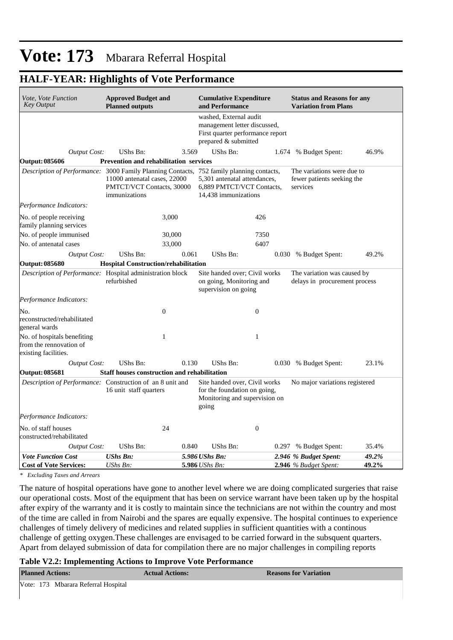## **HALF-YEAR: Highlights of Vote Performance**

| <i>Vote, Vote Function</i><br><b>Key Output</b>                                          | <b>Approved Budget and</b><br><b>Planned outputs</b>                       |       | <b>Cumulative Expenditure</b><br>and Performance                                                                   |       | <b>Status and Reasons for any</b><br><b>Variation from Plans</b>     |       |
|------------------------------------------------------------------------------------------|----------------------------------------------------------------------------|-------|--------------------------------------------------------------------------------------------------------------------|-------|----------------------------------------------------------------------|-------|
|                                                                                          |                                                                            |       | washed, External audit<br>management letter discussed,<br>First quarter performance report<br>prepared & submitted |       |                                                                      |       |
| <b>Output Cost:</b>                                                                      | UShs Bn:                                                                   | 3.569 | UShs Bn:                                                                                                           | 1.674 | % Budget Spent:                                                      | 46.9% |
| <b>Output: 085606</b>                                                                    | <b>Prevention and rehabilitation services</b>                              |       |                                                                                                                    |       |                                                                      |       |
| Description of Performance: 3000 Family Planning Contacts, 752 family planning contacts, | 11000 antenatal cases, 22000<br>PMTCT/VCT Contacts, 30000<br>immunizations |       | 5,301 antenatal attendances,<br>6,889 PMTCT/VCT Contacts,<br>14,438 immunizations                                  |       | The variations were due to<br>fewer patients seeking the<br>services |       |
| Performance Indicators:                                                                  |                                                                            |       |                                                                                                                    |       |                                                                      |       |
| No. of people receiving<br>family planning services                                      | 3,000                                                                      |       | 426                                                                                                                |       |                                                                      |       |
| No. of people immunised                                                                  | 30,000                                                                     |       | 7350                                                                                                               |       |                                                                      |       |
| No. of antenatal cases                                                                   | 33,000                                                                     |       | 6407                                                                                                               |       |                                                                      |       |
| <b>Output Cost:</b>                                                                      | UShs Bn:                                                                   | 0.061 | UShs Bn:                                                                                                           |       | 0.030 % Budget Spent:                                                | 49.2% |
| <b>Output: 085680</b>                                                                    | Hospital Construction/rehabilitation                                       |       |                                                                                                                    |       |                                                                      |       |
| Description of Performance: Hospital administration block                                | refurbished                                                                |       | Site handed over; Civil works<br>on going, Monitoring and<br>supervision on going                                  |       | The variation was caused by<br>delays in procurement process         |       |
| Performance Indicators:                                                                  |                                                                            |       |                                                                                                                    |       |                                                                      |       |
| No.<br>reconstructed/rehabilitated<br>general wards                                      | $\boldsymbol{0}$                                                           |       | $\boldsymbol{0}$                                                                                                   |       |                                                                      |       |
| No. of hospitals benefiting<br>from the rennovation of<br>existing facilities.           | $\mathbf{1}$                                                               |       | $\mathbf{1}$                                                                                                       |       |                                                                      |       |
| <b>Output Cost:</b>                                                                      | UShs Bn:                                                                   | 0.130 | UShs Bn:                                                                                                           |       | 0.030 % Budget Spent:                                                | 23.1% |
| <b>Output: 085681</b>                                                                    | <b>Staff houses construction and rehabilitation</b>                        |       |                                                                                                                    |       |                                                                      |       |
| <i>Description of Performance:</i> Construction of an 8 unit and                         | 16 unit staff quarters                                                     |       | Site handed over, Civil works<br>for the foundation on going,<br>Monitoring and supervision on<br>going            |       | No major variations registered                                       |       |
| Performance Indicators:                                                                  |                                                                            |       |                                                                                                                    |       |                                                                      |       |
| No. of staff houses<br>constructed/rehabilitated                                         | 24                                                                         |       | $\boldsymbol{0}$                                                                                                   |       |                                                                      |       |
| Output Cost:                                                                             | UShs Bn:                                                                   | 0.840 | <b>UShs Bn:</b>                                                                                                    |       | 0.297 % Budget Spent:                                                | 35.4% |
| <b>Vote Function Cost</b>                                                                | <b>UShs Bn:</b>                                                            |       | 5.986 UShs Bn:                                                                                                     |       | 2.946 % Budget Spent:                                                | 49.2% |
| <b>Cost of Vote Services:</b>                                                            | UShs Bn:                                                                   |       | <b>5.986</b> UShs Bn:                                                                                              |       | <b>2.946</b> % Budget Spent:                                         | 49.2% |

*\* Excluding Taxes and Arrears*

The nature of hospital operations have gone to another level where we are doing complicated surgeries that raise our operational costs. Most of the equipment that has been on service warrant have been taken up by the hospital after expiry of the warranty and it is costly to maintain since the technicians are not within the country and most of the time are called in from Nairobi and the spares are equally expensive. The hospital continues to experience challenges of timely delivery of medicines and related supplies in sufficient quantities with a continous challenge of getting oxygen.These challenges are envisaged to be carried forward in the subsquent quarters. Apart from delayed submission of data for compilation there are no major challenges in compiling reports

#### **Table V2.2: Implementing Actions to Improve Vote Performance**

| <b>Planned Actions:</b>             | <b>Actual Actions:</b> | <b>Reasons for Variation</b> |
|-------------------------------------|------------------------|------------------------------|
| Vote: 173 Mbarara Referral Hospital |                        |                              |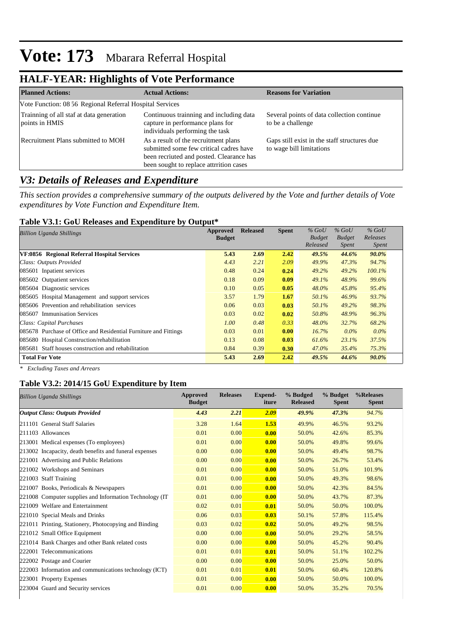# **HALF-YEAR: Highlights of Vote Performance**

| <b>Planned Actions:</b>                                    | <b>Actual Actions:</b>                                                                                                                                                 | <b>Reasons for Variation</b>                                             |
|------------------------------------------------------------|------------------------------------------------------------------------------------------------------------------------------------------------------------------------|--------------------------------------------------------------------------|
| Vote Function: 08 56 Regional Referral Hospital Services   |                                                                                                                                                                        |                                                                          |
| Trainning of all staf at data generation<br>points in HMIS | Continuous trainning and including data<br>capture in performance plans for<br>individuals performing the task                                                         | Several points of data collection continue<br>to be a challenge          |
| Recruitment Plans submitted to MOH                         | As a result of the recruitment plans<br>submitted some few critical cadres have<br>been recriuted and posted. Clearance has<br>been sought to replace attrrition cases | Gaps still exist in the staff structures due<br>to wage bill limitations |

## *V3: Details of Releases and Expenditure*

*This section provides a comprehensive summary of the outputs delivered by the Vote and further details of Vote expenditures by Vote Function and Expenditure Item.*

### **Table V3.1: GoU Releases and Expenditure by Output\***

| Billion Uganda Shillings                                         | Approved      | <b>Released</b> | <b>Spent</b> | $%$ GoU       | $%$ GoU       | $%$ GoU      |
|------------------------------------------------------------------|---------------|-----------------|--------------|---------------|---------------|--------------|
|                                                                  | <b>Budget</b> |                 |              | <b>Budget</b> | <b>Budget</b> | Releases     |
|                                                                  |               |                 |              | Released      | <i>Spent</i>  | <i>Spent</i> |
| VF:0856 Regional Referral Hospital Services                      | 5.43          | 2.69            | 2.42         | 49.5%         | 44.6%         | $90.0\%$     |
| Class: Outputs Provided                                          | 4.43          | 2.21            | 2.09         | 49.9%         | 47.3%         | 94.7%        |
| 085601 Inpatient services                                        | 0.48          | 0.24            | 0.24         | 49.2%         | 49.2%         | 100.1%       |
| 085602 Outpatient services                                       | 0.18          | 0.09            | 0.09         | 49.1%         | 48.9%         | 99.6%        |
| 085604 Diagnostic services                                       | 0.10          | 0.05            | 0.05         | $48.0\%$      | 45.8%         | 95.4%        |
| 085605 Hospital Management and support services                  | 3.57          | 1.79            | 1.67         | 50.1%         | 46.9%         | 93.7%        |
| 085606 Prevention and rehabilitation services                    | 0.06          | 0.03            | 0.03         | 50.1%         | 49.2%         | 98.3%        |
| 085607 Immunisation Services                                     | 0.03          | 0.02            | 0.02         | 50.8%         | 48.9%         | 96.3%        |
| Class: Capital Purchases                                         | 1.00          | 0.48            | 0.33         | $48.0\%$      | 32.7%         | 68.2%        |
| 085678 Purchase of Office and Residential Furniture and Fittings | 0.03          | 0.01            | 0.00         | $16.7\%$      | $0.0\%$       | $0.0\%$      |
| 085680 Hospital Construction/rehabilitation                      | 0.13          | 0.08            | 0.03         | 61.6%         | 23.1%         | 37.5%        |
| 085681 Staff houses construction and rehabilitation              | 0.84          | 0.39            | 0.30         | 47.0%         | 35.4%         | 75.3%        |
| <b>Total For Vote</b>                                            | 5.43          | 2.69            | 2.42         | 49.5%         | 44.6%         | 90.0%        |

*\* Excluding Taxes and Arrears*

## **Table V3.2: 2014/15 GoU Expenditure by Item**

| <b>Billion Uganda Shillings</b>                          | Approved<br><b>Budget</b> | <b>Releases</b> | Expend-<br>iture | % Budged<br><b>Released</b> | % Budget<br><b>Spent</b> | %Releases<br><b>Spent</b> |
|----------------------------------------------------------|---------------------------|-----------------|------------------|-----------------------------|--------------------------|---------------------------|
| <b>Output Class: Outputs Provided</b>                    | 4.43                      | 2.21            | 2.09             | 49.9%                       | 47.3%                    | 94.7%                     |
| 211101 General Staff Salaries                            | 3.28                      | 1.64            | 1.53             | 49.9%                       | 46.5%                    | 93.2%                     |
| 211103 Allowances                                        | 0.01                      | 0.00            | 0.00             | 50.0%                       | 42.6%                    | 85.3%                     |
| 213001 Medical expenses (To employees)                   | 0.01                      | 0.00            | 0.00             | 50.0%                       | 49.8%                    | 99.6%                     |
| 213002 Incapacity, death benefits and funeral expenses   | 0.00                      | 0.00            | 0.00             | 50.0%                       | 49.4%                    | 98.7%                     |
| 221001 Advertising and Public Relations                  | 0.00                      | 0.00            | 0.00             | 50.0%                       | 26.7%                    | 53.4%                     |
| 221002 Workshops and Seminars                            | 0.01                      | 0.00            | 0.00             | 50.0%                       | 51.0%                    | 101.9%                    |
| 221003 Staff Training                                    | 0.01                      | 0.00            | 0.00             | 50.0%                       | 49.3%                    | 98.6%                     |
| 221007 Books, Periodicals & Newspapers                   | 0.01                      | 0.00            | 0.00             | 50.0%                       | 42.3%                    | 84.5%                     |
| 221008 Computer supplies and Information Technology (IT) | 0.01                      | 0.00            | 0.00             | 50.0%                       | 43.7%                    | 87.3%                     |
| 221009 Welfare and Entertainment                         | 0.02                      | 0.01            | 0.01             | 50.0%                       | 50.0%                    | 100.0%                    |
| 221010 Special Meals and Drinks                          | 0.06                      | 0.03            | 0.03             | 50.1%                       | 57.8%                    | 115.4%                    |
| 221011 Printing, Stationery, Photocopying and Binding    | 0.03                      | 0.02            | 0.02             | 50.0%                       | 49.2%                    | 98.5%                     |
| 221012 Small Office Equipment                            | 0.00                      | 0.00            | 0.00             | 50.0%                       | 29.2%                    | 58.5%                     |
| 221014 Bank Charges and other Bank related costs         | 0.00                      | 0.00            | 0.00             | 50.0%                       | 45.2%                    | 90.4%                     |
| 222001 Telecommunications                                | 0.01                      | 0.01            | 0.01             | 50.0%                       | 51.1%                    | 102.2%                    |
| 222002 Postage and Courier                               | 0.00                      | 0.00            | 0.00             | 50.0%                       | 25.0%                    | 50.0%                     |
| 222003 Information and communications technology (ICT)   | 0.01                      | 0.01            | 0.01             | 50.0%                       | 60.4%                    | 120.8%                    |
| 223001 Property Expenses                                 | 0.01                      | 0.00            | 0.00             | 50.0%                       | 50.0%                    | 100.0%                    |
| 223004 Guard and Security services                       | 0.01                      | 0.00            | 0.00             | 50.0%                       | 35.2%                    | 70.5%                     |